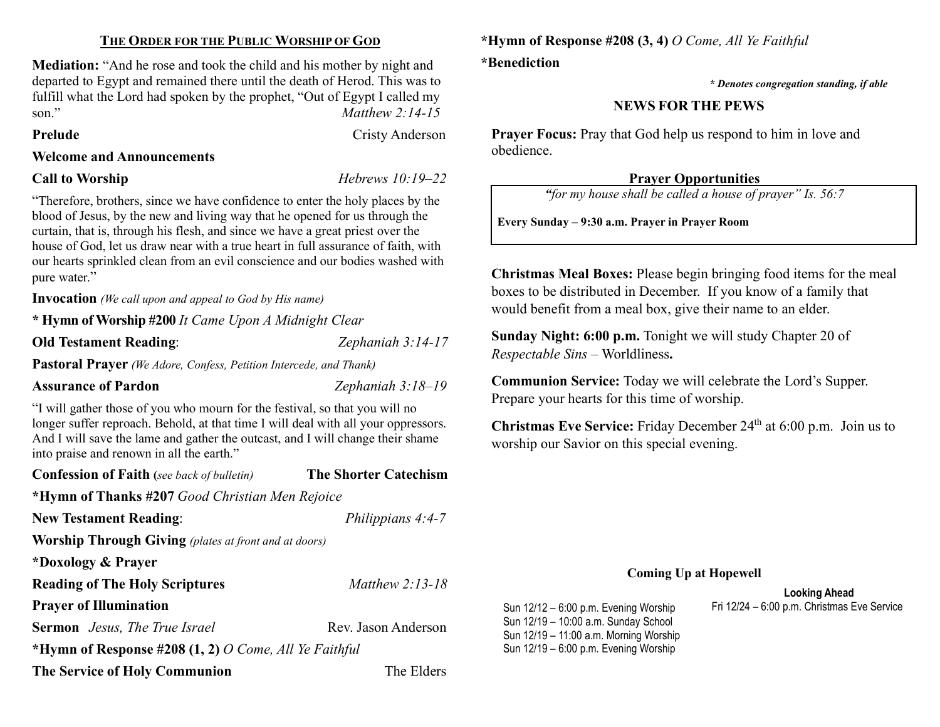#### THE ORDER FOR THE PUBLIC WORSHIP OF GOD

Mediation: "And he rose and took the child and his mother by night and departed to Egypt and remained there until the death of Herod. This was to fulfill what the Lord had spoken by the prophet, "Out of Egypt I called my son." Matthew 2:14-15

Prelude Cristy Anderson

#### Welcome and Announcements

### Call to Worship Hebrews 10:19–22

"Therefore, brothers, since we have confidence to enter the holy places by the blood of Jesus, by the new and living way that he opened for us through the curtain, that is, through his flesh, and since we have a great priest over the house of God, let us draw near with a true heart in full assurance of faith, with our hearts sprinkled clean from an evil conscience and our bodies washed with pure water."

Invocation (We call upon and appeal to God by His name)

\* Hymn of Worship #200 It Came Upon A Midnight Clear

Old Testament Reading: Zephaniah 3:14-17

Pastoral Prayer (We Adore, Confess, Petition Intercede, and Thank)

#### Assurance of Pardon **Zephaniah** 3:18–19

"I will gather those of you who mourn for the festival, so that you will no longer suffer reproach. Behold, at that time I will deal with all your oppressors. And I will save the lame and gather the outcast, and I will change their shame into praise and renown in all the earth."

| <b>Confession of Faith</b> (see back of bulletin)            | <b>The Shorter Catechism</b> |  |  |  |
|--------------------------------------------------------------|------------------------------|--|--|--|
| *Hymn of Thanks #207 Good Christian Men Rejoice              |                              |  |  |  |
| <b>New Testament Reading:</b>                                | Philippians 4:4-7            |  |  |  |
| <b>Worship Through Giving</b> (plates at front and at doors) |                              |  |  |  |
| *Doxology & Prayer                                           |                              |  |  |  |
| Matthew $2:13-18$<br><b>Reading of The Holy Scriptures</b>   |                              |  |  |  |
| <b>Prayer of Illumination</b>                                |                              |  |  |  |
| <b>Sermon</b> Jesus, The True Israel                         | Rev. Jason Anderson          |  |  |  |
| *Hymn of Response #208 $(1, 2)$ O Come, All Ye Faithful      |                              |  |  |  |
| <b>The Service of Holy Communion</b>                         | The Elders                   |  |  |  |

\*Hymn of Response #208 (3, 4) O Come, All Ye Faithful \*Benediction

\* Denotes congregation standing, if able

# NEWS FOR THE PEWS

**Prayer Focus:** Pray that God help us respond to him in love and obedience.

## Prayer Opportunities

"for my house shall be called a house of prayer" Is. 56:7

Every Sunday – 9:30 a.m. Prayer in Prayer Room

Christmas Meal Boxes: Please begin bringing food items for the meal boxes to be distributed in December. If you know of a family that would benefit from a meal box, give their name to an elder.

Sunday Night: 6:00 p.m. Tonight we will study Chapter 20 of Respectable Sins – Worldliness.

Communion Service: Today we will celebrate the Lord's Supper. Prepare your hearts for this time of worship.

Christmas Eve Service: Friday December 24th at 6:00 p.m. Join us to worship our Savior on this special evening.

#### Coming Up at Hopewell

#### Looking Ahead Sun 12/12 – 6:00 p.m. Evening Worship Fri 12/24 – 6:00 p.m. Christmas Eve Service

Sun 12/19 – 10:00 a.m. Sunday School Sun 12/19 – 11:00 a.m. Morning Worship Sun 12/19 – 6:00 p.m. Evening Worship